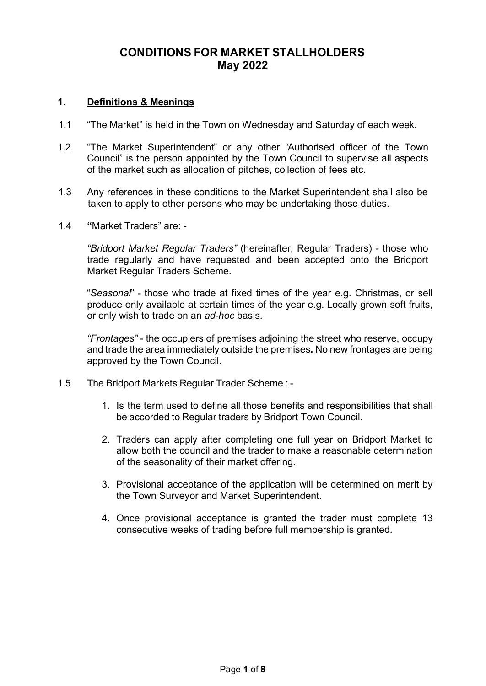## **CONDITIONS FOR MARKET STALLHOLDERS May 2022**

### **1. Definitions & Meanings**

- 1.1 "The Market" is held in the Town on Wednesday and Saturday of each week.
- 1.2 "The Market Superintendent" or any other "Authorised officer of the Town Council" is the person appointed by the Town Council to supervise all aspects of the market such as allocation of pitches, collection of fees etc.
- 1.3 Any references in these conditions to the Market Superintendent shall also be taken to apply to other persons who may be undertaking those duties.
- 1.4 **"**Market Traders" are: -

*"Bridport Market Regular Traders"* (hereinafter; Regular Traders) - those who trade regularly and have requested and been accepted onto the Bridport Market Regular Traders Scheme.

"*Seasonal*" - those who trade at fixed times of the year e.g. Christmas, or sell produce only available at certain times of the year e.g. Locally grown soft fruits, or only wish to trade on an *ad-hoc* basis.

*"Frontages"* - the occupiers of premises adjoining the street who reserve, occupy and trade the area immediately outside the premises**.** No new frontages are being approved by the Town Council.

- 1.5 The Bridport Markets Regular Trader Scheme :
	- 1. Is the term used to define all those benefits and responsibilities that shall be accorded to Regular traders by Bridport Town Council.
	- 2. Traders can apply after completing one full year on Bridport Market to allow both the council and the trader to make a reasonable determination of the seasonality of their market offering.
	- 3. Provisional acceptance of the application will be determined on merit by the Town Surveyor and Market Superintendent.
	- 4. Once provisional acceptance is granted the trader must complete 13 consecutive weeks of trading before full membership is granted.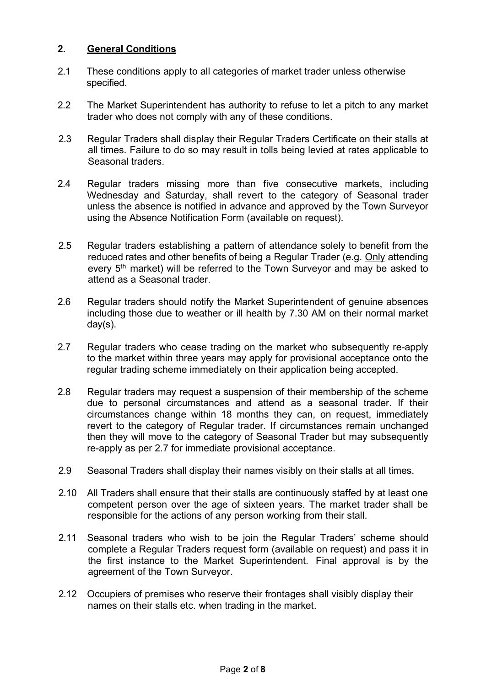### **2. General Conditions**

- 2.1 These conditions apply to all categories of market trader unless otherwise specified.
- 2.2 The Market Superintendent has authority to refuse to let a pitch to any market trader who does not comply with any of these conditions.
- 2.3 Regular Traders shall display their Regular Traders Certificate on their stalls at all times. Failure to do so may result in tolls being levied at rates applicable to Seasonal traders.
- 2.4 Regular traders missing more than five consecutive markets, including Wednesday and Saturday, shall revert to the category of Seasonal trader unless the absence is notified in advance and approved by the Town Surveyor using the Absence Notification Form (available on request).
- 2.5 Regular traders establishing a pattern of attendance solely to benefit from the reduced rates and other benefits of being a Regular Trader (e.g. Only attending every 5<sup>th</sup> market) will be referred to the Town Surveyor and may be asked to attend as a Seasonal trader.
- 2.6 Regular traders should notify the Market Superintendent of genuine absences including those due to weather or ill health by 7.30 AM on their normal market day(s).
- 2.7 Regular traders who cease trading on the market who subsequently re-apply to the market within three years may apply for provisional acceptance onto the regular trading scheme immediately on their application being accepted.
- 2.8 Regular traders may request a suspension of their membership of the scheme due to personal circumstances and attend as a seasonal trader. If their circumstances change within 18 months they can, on request, immediately revert to the category of Regular trader. If circumstances remain unchanged then they will move to the category of Seasonal Trader but may subsequently re-apply as per 2.7 for immediate provisional acceptance.
- 2.9 Seasonal Traders shall display their names visibly on their stalls at all times.
- 2.10 All Traders shall ensure that their stalls are continuously staffed by at least one competent person over the age of sixteen years. The market trader shall be responsible for the actions of any person working from their stall.
- 2.11 Seasonal traders who wish to be join the Regular Traders' scheme should complete a Regular Traders request form (available on request) and pass it in the first instance to the Market Superintendent. Final approval is by the agreement of the Town Surveyor.
- 2.12 Occupiers of premises who reserve their frontages shall visibly display their names on their stalls etc. when trading in the market.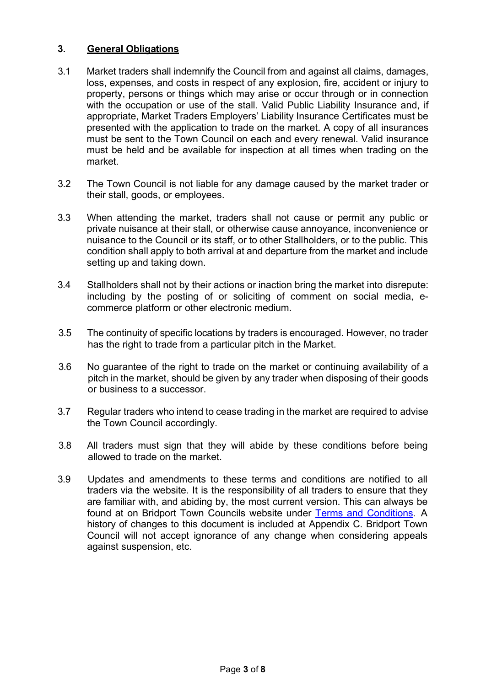### **3. General Obligations**

- 3.1 Market traders shall indemnify the Council from and against all claims, damages, loss, expenses, and costs in respect of any explosion, fire, accident or injury to property, persons or things which may arise or occur through or in connection with the occupation or use of the stall. Valid Public Liability Insurance and, if appropriate, Market Traders Employers' Liability Insurance Certificates must be presented with the application to trade on the market. A copy of all insurances must be sent to the Town Council on each and every renewal. Valid insurance must be held and be available for inspection at all times when trading on the market.
- 3.2 The Town Council is not liable for any damage caused by the market trader or their stall, goods, or employees.
- 3.3 When attending the market, traders shall not cause or permit any public or private nuisance at their stall, or otherwise cause annoyance, inconvenience or nuisance to the Council or its staff, or to other Stallholders, or to the public. This condition shall apply to both arrival at and departure from the market and include setting up and taking down.
- 3.4 Stallholders shall not by their actions or inaction bring the market into disrepute: including by the posting of or soliciting of comment on social media, ecommerce platform or other electronic medium.
- 3.5 The continuity of specific locations by traders is encouraged. However, no trader has the right to trade from a particular pitch in the Market.
- 3.6 No guarantee of the right to trade on the market or continuing availability of a pitch in the market, should be given by any trader when disposing of their goods or business to a successor.
- 3.7 Regular traders who intend to cease trading in the market are required to advise the Town Council accordingly.
- 3.8 All traders must sign that they will abide by these conditions before being allowed to trade on the market.
- 3.9 Updates and amendments to these terms and conditions are notified to all traders via the website. It is the responsibility of all traders to ensure that they are familiar with, and abiding by, the most current version. This can always be found at on Bridport Town Councils website under [Terms and Conditions.](https://www.bridport-tc.gov.uk/services/bridport-market/) A history of changes to this document is included at Appendix C. Bridport Town Council will not accept ignorance of any change when considering appeals against suspension, etc.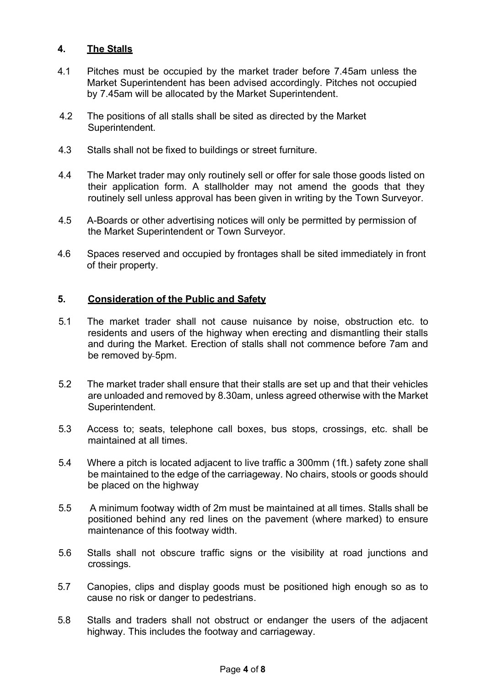### **4. The Stalls**

- 4.1 Pitches must be occupied by the market trader before 7.45am unless the Market Superintendent has been advised accordingly. Pitches not occupied by 7.45am will be allocated by the Market Superintendent.
- 4.2 The positions of all stalls shall be sited as directed by the Market Superintendent.
- 4.3 Stalls shall not be fixed to buildings or street furniture.
- 4.4 The Market trader may only routinely sell or offer for sale those goods listed on their application form. A stallholder may not amend the goods that they routinely sell unless approval has been given in writing by the Town Surveyor.
- 4.5 A-Boards or other advertising notices will only be permitted by permission of the Market Superintendent or Town Surveyor.
- 4.6 Spaces reserved and occupied by frontages shall be sited immediately in front of their property.

#### **5. Consideration of the Public and Safety**

- 5.1 The market trader shall not cause nuisance by noise, obstruction etc. to residents and users of the highway when erecting and dismantling their stalls and during the Market. Erection of stalls shall not commence before 7am and be removed by 5pm.
- 5.2 The market trader shall ensure that their stalls are set up and that their vehicles are unloaded and removed by 8.30am, unless agreed otherwise with the Market Superintendent.
- 5.3 Access to; seats, telephone call boxes, bus stops, crossings, etc. shall be maintained at all times.
- 5.4 Where a pitch is located adjacent to live traffic a 300mm (1ft.) safety zone shall be maintained to the edge of the carriageway. No chairs, stools or goods should be placed on the highway
- 5.5 A minimum footway width of 2m must be maintained at all times. Stalls shall be positioned behind any red lines on the pavement (where marked) to ensure maintenance of this footway width.
- 5.6 Stalls shall not obscure traffic signs or the visibility at road junctions and crossings.
- 5.7 Canopies, clips and display goods must be positioned high enough so as to cause no risk or danger to pedestrians.
- 5.8 Stalls and traders shall not obstruct or endanger the users of the adjacent highway. This includes the footway and carriageway.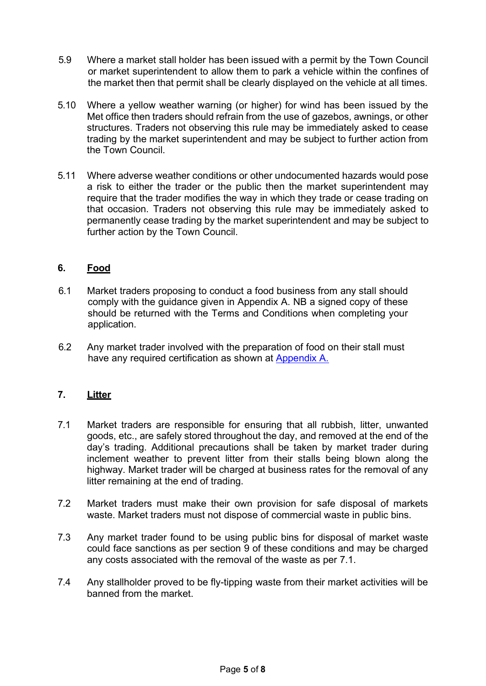- 5.9 Where a market stall holder has been issued with a permit by the Town Council or market superintendent to allow them to park a vehicle within the confines of the market then that permit shall be clearly displayed on the vehicle at all times.
- 5.10 Where a yellow weather warning (or higher) for wind has been issued by the Met office then traders should refrain from the use of gazebos, awnings, or other structures. Traders not observing this rule may be immediately asked to cease trading by the market superintendent and may be subject to further action from the Town Council.
- 5.11 Where adverse weather conditions or other undocumented hazards would pose a risk to either the trader or the public then the market superintendent may require that the trader modifies the way in which they trade or cease trading on that occasion. Traders not observing this rule may be immediately asked to permanently cease trading by the market superintendent and may be subject to further action by the Town Council.

### **6. Food**

- 6.1 Market traders proposing to conduct a food business from any stall should comply with the guidance given in Appendix A. NB a signed copy of these should be returned with the Terms and Conditions when completing your application.
- 6.2 Any market trader involved with the preparation of food on their stall must have any required certification as shown at [Appendix A.](https://www.bridport-tc.gov.uk/wp-content/uploads/2021/03/Bridport-Market-Food-Guidance.pdf)

#### **7. Litter**

- 7.1 Market traders are responsible for ensuring that all rubbish, litter, unwanted goods, etc., are safely stored throughout the day, and removed at the end of the day's trading. Additional precautions shall be taken by market trader during inclement weather to prevent litter from their stalls being blown along the highway. Market trader will be charged at business rates for the removal of any litter remaining at the end of trading.
- 7.2 Market traders must make their own provision for safe disposal of markets waste. Market traders must not dispose of commercial waste in public bins.
- 7.3 Any market trader found to be using public bins for disposal of market waste could face sanctions as per section 9 of these conditions and may be charged any costs associated with the removal of the waste as per 7.1.
- 7.4 Any stallholder proved to be fly-tipping waste from their market activities will be banned from the market.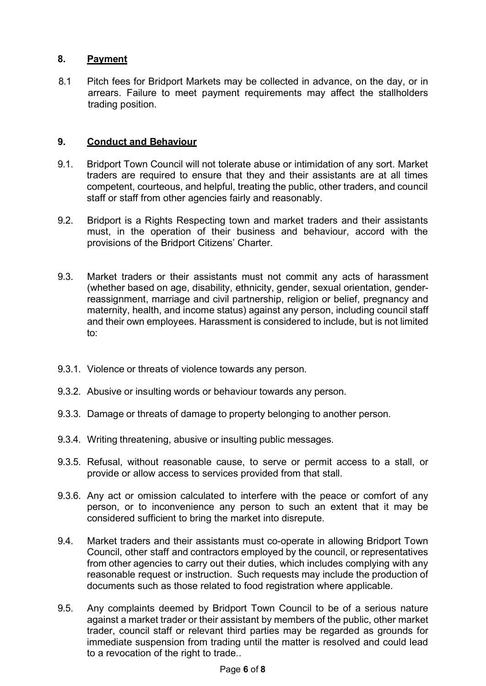### **8. Payment**

8.1 Pitch fees for Bridport Markets may be collected in advance, on the day, or in arrears. Failure to meet payment requirements may affect the stallholders trading position.

### **9. Conduct and Behaviour**

- 9.1. Bridport Town Council will not tolerate abuse or intimidation of any sort. Market traders are required to ensure that they and their assistants are at all times competent, courteous, and helpful, treating the public, other traders, and council staff or staff from other agencies fairly and reasonably.
- 9.2. Bridport is a Rights Respecting town and market traders and their assistants must, in the operation of their business and behaviour, accord with the provisions of the Bridport Citizens' Charter.
- 9.3. Market traders or their assistants must not commit any acts of harassment (whether based on age, disability, ethnicity, gender, sexual orientation, genderreassignment, marriage and civil partnership, religion or belief, pregnancy and maternity, health, and income status) against any person, including council staff and their own employees. Harassment is considered to include, but is not limited to:
- 9.3.1. Violence or threats of violence towards any person.
- 9.3.2. Abusive or insulting words or behaviour towards any person.
- 9.3.3. Damage or threats of damage to property belonging to another person.
- 9.3.4. Writing threatening, abusive or insulting public messages.
- 9.3.5. Refusal, without reasonable cause, to serve or permit access to a stall, or provide or allow access to services provided from that stall.
- 9.3.6. Any act or omission calculated to interfere with the peace or comfort of any person, or to inconvenience any person to such an extent that it may be considered sufficient to bring the market into disrepute.
- 9.4. Market traders and their assistants must co-operate in allowing Bridport Town Council, other staff and contractors employed by the council, or representatives from other agencies to carry out their duties, which includes complying with any reasonable request or instruction. Such requests may include the production of documents such as those related to food registration where applicable.
- 9.5. Any complaints deemed by Bridport Town Council to be of a serious nature against a market trader or their assistant by members of the public, other market trader, council staff or relevant third parties may be regarded as grounds for immediate suspension from trading until the matter is resolved and could lead to a revocation of the right to trade..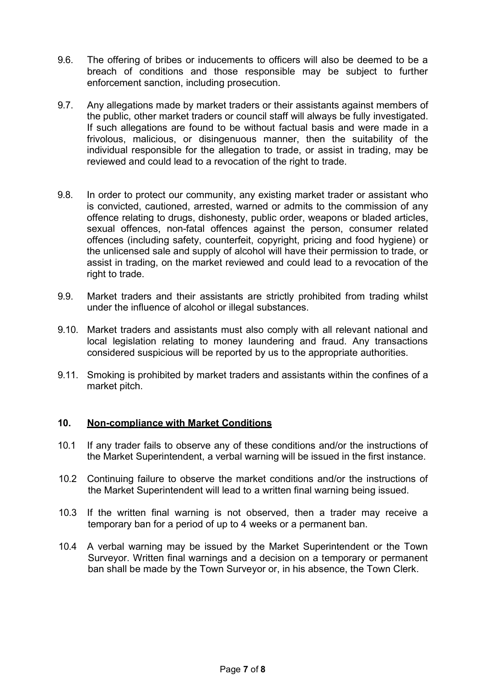- 9.6. The offering of bribes or inducements to officers will also be deemed to be a breach of conditions and those responsible may be subject to further enforcement sanction, including prosecution.
- 9.7. Any allegations made by market traders or their assistants against members of the public, other market traders or council staff will always be fully investigated. If such allegations are found to be without factual basis and were made in a frivolous, malicious, or disingenuous manner, then the suitability of the individual responsible for the allegation to trade, or assist in trading, may be reviewed and could lead to a revocation of the right to trade.
- 9.8. In order to protect our community, any existing market trader or assistant who is convicted, cautioned, arrested, warned or admits to the commission of any offence relating to drugs, dishonesty, public order, weapons or bladed articles, sexual offences, non-fatal offences against the person, consumer related offences (including safety, counterfeit, copyright, pricing and food hygiene) or the unlicensed sale and supply of alcohol will have their permission to trade, or assist in trading, on the market reviewed and could lead to a revocation of the right to trade.
- 9.9. Market traders and their assistants are strictly prohibited from trading whilst under the influence of alcohol or illegal substances.
- 9.10. Market traders and assistants must also comply with all relevant national and local legislation relating to money laundering and fraud. Any transactions considered suspicious will be reported by us to the appropriate authorities.
- 9.11. Smoking is prohibited by market traders and assistants within the confines of a market pitch.

#### **10. Non-compliance with Market Conditions**

- 10.1 If any trader fails to observe any of these conditions and/or the instructions of the Market Superintendent, a verbal warning will be issued in the first instance.
- 10.2 Continuing failure to observe the market conditions and/or the instructions of the Market Superintendent will lead to a written final warning being issued.
- 10.3 If the written final warning is not observed, then a trader may receive a temporary ban for a period of up to 4 weeks or a permanent ban.
- 10.4 A verbal warning may be issued by the Market Superintendent or the Town Surveyor. Written final warnings and a decision on a temporary or permanent ban shall be made by the Town Surveyor or, in his absence, the Town Clerk.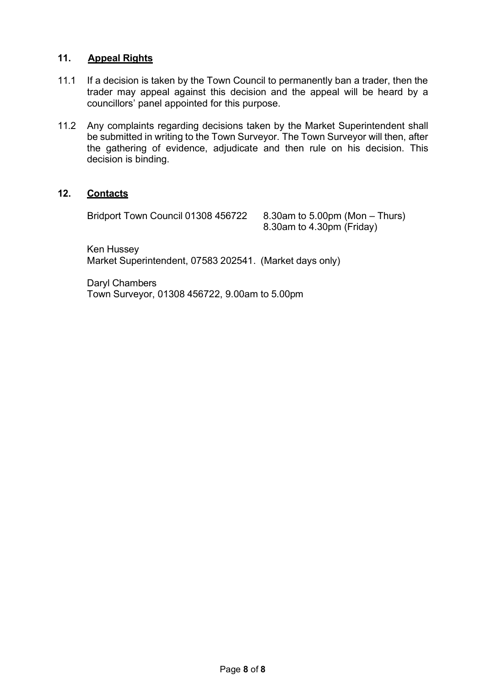#### **11. Appeal Rights**

- 11.1 If a decision is taken by the Town Council to permanently ban a trader, then the trader may appeal against this decision and the appeal will be heard by a councillors' panel appointed for this purpose.
- 11.2 Any complaints regarding decisions taken by the Market Superintendent shall be submitted in writing to the Town Surveyor. The Town Surveyor will then, after the gathering of evidence, adjudicate and then rule on his decision. This decision is binding.

#### **12. Contacts**

Bridport Town Council 01308 456722 8.30am to 5.00pm (Mon – Thurs)

8.30am to 4.30pm (Friday)

Ken Hussey Market Superintendent, 07583 202541. (Market days only)

Daryl Chambers Town Surveyor, 01308 456722, 9.00am to 5.00pm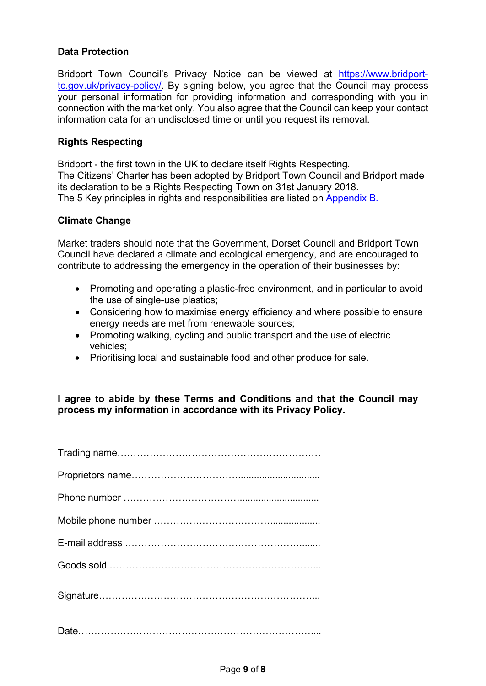### **Data Protection**

Bridport Town Council's Privacy Notice can be viewed at [https://www.bridport](https://www.bridport-tc.gov.uk/privacy-policy/)[tc.gov.uk/privacy-policy/. B](https://www.bridport-tc.gov.uk/privacy-policy/)y signing below, you agree that the Council may process your personal information for providing information and corresponding with you in connection with the market only. You also agree that the Council can keep your contact information data for an undisclosed time or until you request its removal.

### **Rights Respecting**

Bridport - the first town in the UK to declare itself Rights Respecting. The Citizens' Charter has been adopted by Bridport Town Council and Bridport made its declaration to be a Rights Respecting Town on 31st January 2018. The 5 Key principles in rights and responsibilities are listed on [Appendix](https://www.bridport-tc.gov.uk/wp-content/uploads/2021/04/Charter-Leaflet-Side-2.pdf) B.

#### **Climate Change**

Market traders should note that the Government, Dorset Council and Bridport Town Council have declared a climate and ecological emergency, and are encouraged to contribute to addressing the emergency in the operation of their businesses by:

- Promoting and operating a plastic-free environment, and in particular to avoid the use of single-use plastics;
- Considering how to maximise energy efficiency and where possible to ensure energy needs are met from renewable sources;
- Promoting walking, cycling and public transport and the use of electric vehicles;
- Prioritising local and sustainable food and other produce for sale.

### **I agree to abide by these Terms and Conditions and that the Council may process my information in accordance with its Privacy Policy.**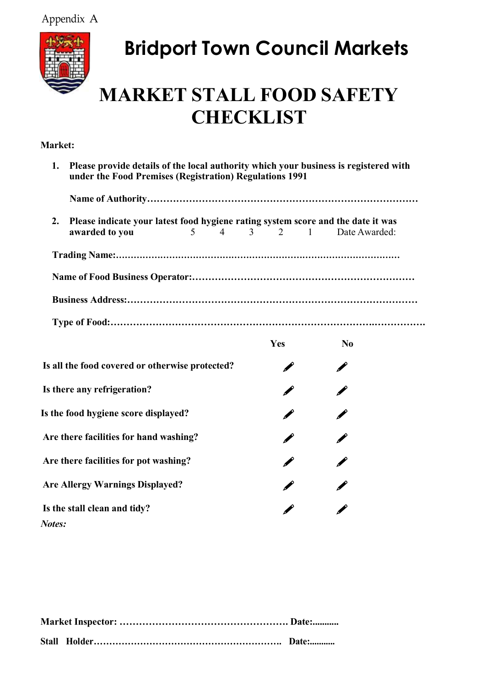Appendix A



# **Bridport Town Council Markets**

## **MARKET STALL FOOD SAFETY CHECKLIST**

## **Market:**

| Please provide details of the local authority which your business is registered with<br>1.<br>under the Food Premises (Registration) Regulations 1991 |   |                    |     |  |                |  |  |
|-------------------------------------------------------------------------------------------------------------------------------------------------------|---|--------------------|-----|--|----------------|--|--|
|                                                                                                                                                       |   |                    |     |  |                |  |  |
| 2.<br>Please indicate your latest food hygiene rating system score and the date it was<br>awarded to you                                              | 5 | $4 \t 3 \t 2 \t 1$ |     |  | Date Awarded:  |  |  |
|                                                                                                                                                       |   |                    |     |  |                |  |  |
|                                                                                                                                                       |   |                    |     |  |                |  |  |
|                                                                                                                                                       |   |                    |     |  |                |  |  |
|                                                                                                                                                       |   |                    |     |  |                |  |  |
|                                                                                                                                                       |   |                    | Yes |  | N <sub>0</sub> |  |  |
| Is all the food covered or otherwise protected?                                                                                                       |   |                    |     |  |                |  |  |
| Is there any refrigeration?                                                                                                                           |   |                    |     |  |                |  |  |
| Is the food hygiene score displayed?                                                                                                                  |   |                    |     |  |                |  |  |
| Are there facilities for hand washing?                                                                                                                |   |                    |     |  |                |  |  |
| Are there facilities for pot washing?                                                                                                                 |   |                    |     |  |                |  |  |
| <b>Are Allergy Warnings Displayed?</b>                                                                                                                |   |                    |     |  |                |  |  |

 $\mathscr{O}$ 

**Is the stall clean and tidy?** *Notes:*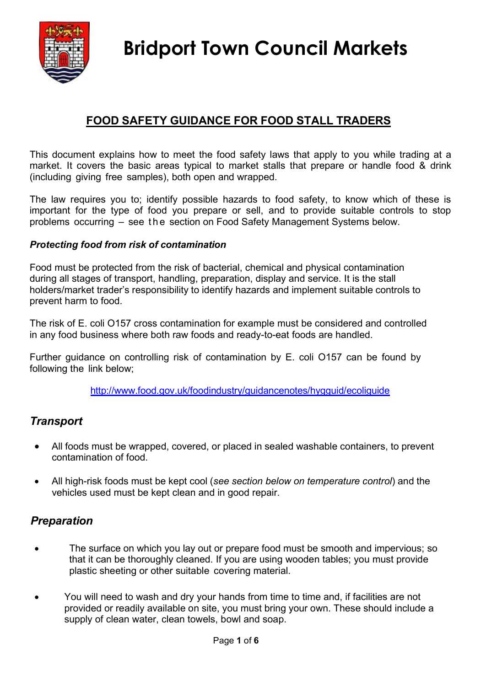

## **FOOD SAFETY GUIDANCE FOR FOOD STALL TRADERS**

This document explains how to meet the food safety laws that apply to you while trading at a market. It covers the basic areas typical to market stalls that prepare or handle food & drink (including giving free samples), both open and wrapped.

The law requires you to; identify possible hazards to food safety, to know which of these is important for the type of food you prepare or sell, and to provide suitable controls to stop problems occurring – see t h e section on Food Safety Management Systems below.

## *Protecting food from risk of contamination*

Food must be protected from the risk of bacterial, chemical and physical contamination during all stages of transport, handling, preparation, display and service. It is the stall holders/market trader's responsibility to identify hazards and implement suitable controls to prevent harm to food.

The risk of E. coli O157 cross contamination for example must be considered and controlled in any food business where both raw foods and ready-to-eat foods are handled.

Further guidance on controlling risk of contamination by E. coli O157 can be found by following the link below;

<http://www.food.gov.uk/foodindustry/guidancenotes/hygguid/ecoliguide>

## *Transport*

- All foods must be wrapped, covered, or placed in sealed washable containers, to prevent contamination of food.
- All high-risk foods must be kept cool (*see section below on temperature control*) and the vehicles used must be kept clean and in good repair.

## *Preparation*

- The surface on which you lay out or prepare food must be smooth and impervious; so that it can be thoroughly cleaned. If you are using wooden tables; you must provide plastic sheeting or other suitable covering material.
- You will need to wash and dry your hands from time to time and, if facilities are not provided or readily available on site, you must bring your own. These should include a supply of clean water, clean towels, bowl and soap.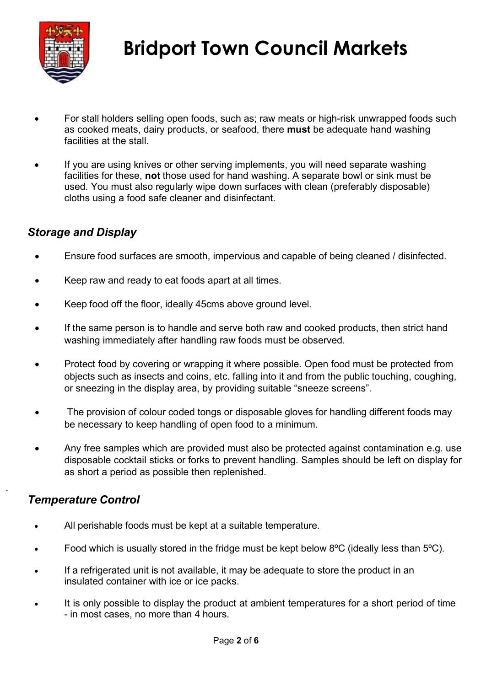

- For stall holders selling open foods, such as; raw meats or high-risk unwrapped foods such as cooked meats, dairy products, or seafood, there **must** be adequate hand washing facilities at the stall.
- If you are using knives or other serving implements, you will need separate washing facilities for these, **not** those used for hand washing. A separate bowl or sink must be used. You must also regularly wipe down surfaces with clean (preferably disposable) cloths using a food safe cleaner and disinfectant.

## *Storage and Display*

- Ensure food surfaces are smooth, impervious and capable of being cleaned / disinfected.
- Keep raw and ready to eat foods apart at all times.
- Keep food off the floor, ideally 45cms above ground level.
- If the same person is to handle and serve both raw and cooked products, then strict hand washing immediately after handling raw foods must be observed.
- Protect food by covering or wrapping it where possible. Open food must be protected from objects such as insects and coins, etc. falling into it and from the public touching, coughing, or sneezing in the display area, by providing suitable "sneeze screens".
- The provision of colour coded tongs or disposable gloves for handling different foods may be necessary to keep handling of open food to a minimum.
- Any free samples which are provided must also be protected against contamination e.g. use disposable cocktail sticks or forks to prevent handling. Samples should be left on display for as short a period as possible then replenished.

## *Temperature Control*

.

- All perishable foods must be kept at a suitable temperature.
- Food which is usually stored in the fridge must be kept below 8ºC (ideally less than 5ºC).
- If a refrigerated unit is not available, it may be adequate to store the product in an insulated container with ice or ice packs.
- It is only possible to display the product at ambient temperatures for a short period of time - in most cases, no more than 4 hours.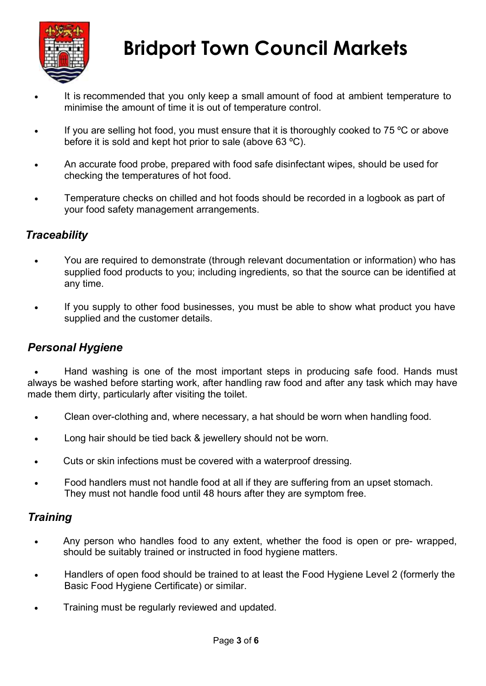

- It is recommended that you only keep a small amount of food at ambient temperature to minimise the amount of time it is out of temperature control.
- If you are selling hot food, you must ensure that it is thoroughly cooked to 75  $\degree$ C or above before it is sold and kept hot prior to sale (above 63 ºC).
- An accurate food probe, prepared with food safe disinfectant wipes, should be used for checking the temperatures of hot food.
- Temperature checks on chilled and hot foods should be recorded in a logbook as part of your food safety management arrangements.

## *Traceability*

- You are required to demonstrate (through relevant documentation or information) who has supplied food products to you; including ingredients, so that the source can be identified at any time.
- If you supply to other food businesses, you must be able to show what product you have supplied and the customer details.

## *Personal Hygiene*

• Hand washing is one of the most important steps in producing safe food. Hands must always be washed before starting work, after handling raw food and after any task which may have made them dirty, particularly after visiting the toilet.

- Clean over-clothing and, where necessary, a hat should be worn when handling food.
- Long hair should be tied back & jewellery should not be worn.
- Cuts or skin infections must be covered with a waterproof dressing.
- Food handlers must not handle food at all if they are suffering from an upset stomach. They must not handle food until 48 hours after they are symptom free.

## *Training*

- Any person who handles food to any extent, whether the food is open or pre- wrapped, should be suitably trained or instructed in food hygiene matters.
- Handlers of open food should be trained to at least the Food Hygiene Level 2 (formerly the Basic Food Hygiene Certificate) or similar.
- Training must be regularly reviewed and updated.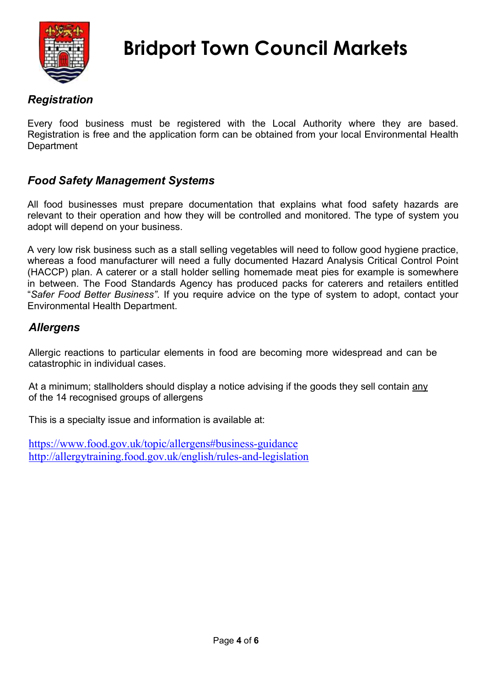

## *Registration*

Every food business must be registered with the Local Authority where they are based. Registration is free and the application form can be obtained from your local Environmental Health **Department** 

## *Food Safety Management Systems*

All food businesses must prepare documentation that explains what food safety hazards are relevant to their operation and how they will be controlled and monitored. The type of system you adopt will depend on your business.

A very low risk business such as a stall selling vegetables will need to follow good hygiene practice, whereas a food manufacturer will need a fully documented Hazard Analysis Critical Control Point (HACCP) plan. A caterer or a stall holder selling homemade meat pies for example is somewhere in between. The Food Standards Agency has produced packs for caterers and retailers entitled "*Safer Food Better Business"*. If you require advice on the type of system to adopt, contact your Environmental Health Department.

## *Allergens*

Allergic reactions to particular elements in food are becoming more widespread and can be catastrophic in individual cases.

At a minimum; stallholders should display a notice advising if the goods they sell contain any of the 14 recognised groups of allergens

This is a specialty issue and information is available at:

[https://www.food.gov.uk/topic/allergens#business-guidance](https://www.food.gov.uk/topic/allergens%23business-guidance) <http://allergytraining.food.gov.uk/english/rules-and-legislation>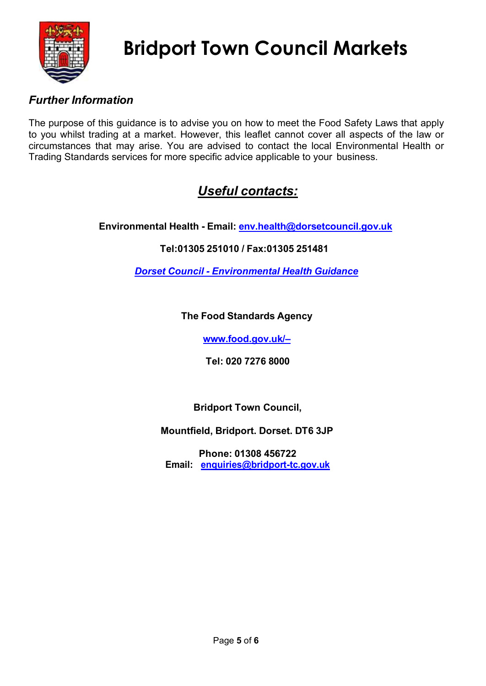

## *Further Information*

The purpose of this guidance is to advise you on how to meet the Food Safety Laws that apply to you whilst trading at a market. However, this leaflet cannot cover all aspects of the law or circumstances that may arise. You are advised to contact the local Environmental Health or Trading Standards services for more specific advice applicable to your business.

## *Useful contacts:*

**Environmental Health - Email: [env.health@dorsetcouncil.gov.uk](mailto:env.health@dorsetcouncil.gov.uk)**

## **Tel:01305 251010 / Fax:01305 251481**

*Dorset [Council - Environmental](https://www.dorsetforyou.gov.uk/environmental-health/environmental-health.aspx?folderIds=5540%2C24021) Health Guidance*

## **The Food Standards Agency**

**[www.food.gov.uk/–](http://www.food.gov.uk/)**

**Tel: 020 7276 8000**

**Bridport Town Council,** 

**Mountfield, Bridport. Dorset. DT6 3JP**

**Phone: 01308 456722 Email: [enquiries@bridport-tc.gov.uk](mailto:enquiries@bridport-tc.gov.uk)**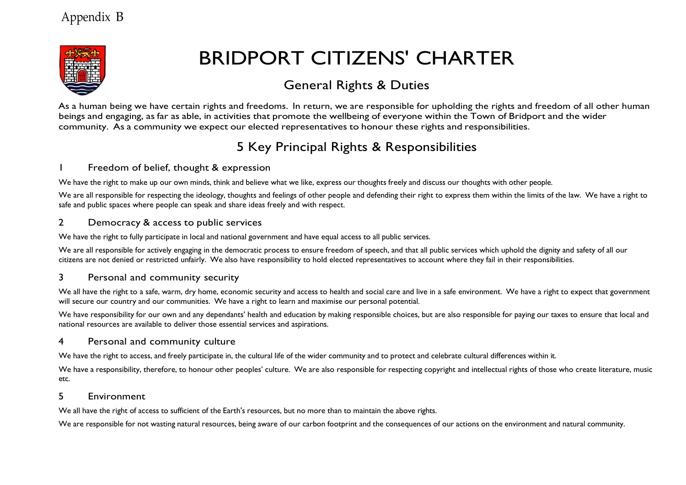

## BRIDPORT CITIZENS' CHARTER

## General Rights & Duties

As a human being we have certain rights and freedoms. In return, we are responsible for upholding the rights and freedom of all other human beings and engaging, as far as able, in activities that promote the wellbeing of everyone within the Town of Bridport and the wider community. As a community we expect our elected representatives to honour these rights and responsibilities.

## 5 Key Principal Rights & Responsibilities

#### 1 Freedom of belief, thought & expression

We have the right to make up our own minds, think and believe what we like, express our thoughts freely and discuss our thoughts with other people.

We are all responsible for respecting the ideology, thoughts and feelings of other people and defending their right to express them within the limits of the law. We have a right to safe and public spaces where people can speak and share ideas freely and with respect.

#### 2 Democracy & access to public services

We have the right to fully participate in local and national government and have equal access to all public services.

We are all responsible for actively engaging in the democratic process to ensure freedom of speech, and that all public services which uphold the dignity and safety of all our citizens are not denied or restricted unfairly. We also have responsibility to hold elected representatives to account where they fail in their responsibilities.

#### 3 Personal and community security

We all have the right to a safe, warm, dry home, economic security and access to health and social care and live in a safe environment. We have a right to expect that government will secure our country and our communities. We have a right to learn and maximise our personal potential.

We have responsibility for our own and any dependants' health and education by making responsible choices, but are also responsible for paying our taxes to ensure that local and national resources are available to deliver those essential services and aspirations.

#### 4 Personal and community culture

We have the right to access, and freely participate in, the cultural life of the wider community and to protect and celebrate cultural differences within it.

We have a responsibility, therefore, to honour other peoples' culture. We are also responsible for respecting copyright and intellectual rights of those who create literature, music etc.

#### 5 Environment

We all have the right of access to sufficient of the Earth's resources, but no more than to maintain the above rights.

We are responsible for not wasting natural resources, being aware of our carbon footprint and the consequences of our actions on the environment and natural community.